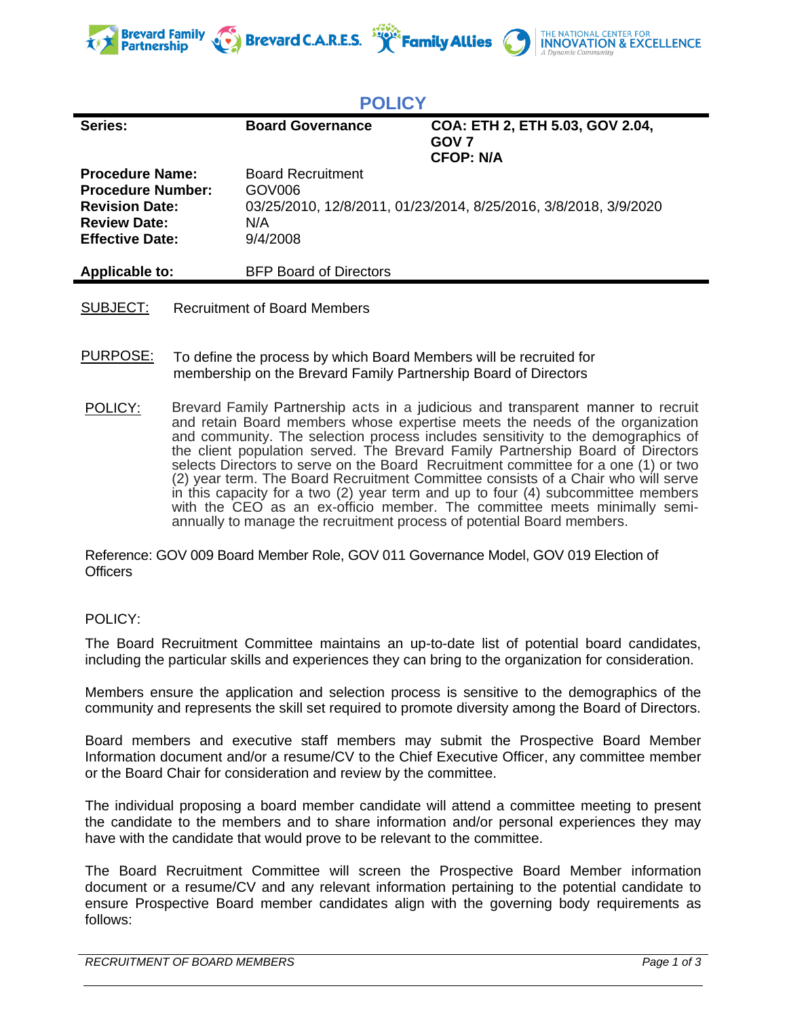

**POLICY**

| COA: ETH 2, ETH 5.03, GOV 2.04,<br>Series:<br><b>Board Governance</b><br>GOV <sub>7</sub><br><b>CFOP: N/A</b> | FVLIV I |  |
|---------------------------------------------------------------------------------------------------------------|---------|--|
|                                                                                                               |         |  |
| <b>Procedure Name:</b><br><b>Board Recruitment</b><br><b>Procedure Number:</b><br>GOV006                      |         |  |
| 03/25/2010, 12/8/2011, 01/23/2014, 8/25/2016, 3/8/2018, 3/9/2020<br><b>Revision Date:</b><br>N/A              |         |  |
| <b>Review Date:</b><br>9/4/2008<br><b>Effective Date:</b>                                                     |         |  |
| <b>Applicable to:</b><br><b>BFP Board of Directors</b>                                                        |         |  |

- SUBJECT: Recruitment of Board Members
- PURPOSE: To define the process by which Board Members will be recruited for membership on the Brevard Family Partnership Board of Directors
- POLICY: Brevard Family Partnership acts in a judicious and transparent manner to recruit and retain Board members whose expertise meets the needs of the organization and community. The selection process includes sensitivity to the demographics of the client population served. The Brevard Family Partnership Board of Directors selects Directors to serve on the Board Recruitment committee for a one (1) or two (2) year term. The Board Recruitment Committee consists of a Chair who will serve in this capacity for a two (2) year term and up to four (4) subcommittee members with the CEO as an ex-officio member. The committee meets minimally semiannually to manage the recruitment process of potential Board members.

Reference: GOV 009 Board Member Role, GOV 011 Governance Model, GOV 019 Election of **Officers** 

## POLICY:

The Board Recruitment Committee maintains an up-to-date list of potential board candidates, including the particular skills and experiences they can bring to the organization for consideration.

Members ensure the application and selection process is sensitive to the demographics of the community and represents the skill set required to promote diversity among the Board of Directors.

Board members and executive staff members may submit the Prospective Board Member Information document and/or a resume/CV to the Chief Executive Officer, any committee member or the Board Chair for consideration and review by the committee.

The individual proposing a board member candidate will attend a committee meeting to present the candidate to the members and to share information and/or personal experiences they may have with the candidate that would prove to be relevant to the committee.

The Board Recruitment Committee will screen the Prospective Board Member information document or a resume/CV and any relevant information pertaining to the potential candidate to ensure Prospective Board member candidates align with the governing body requirements as follows: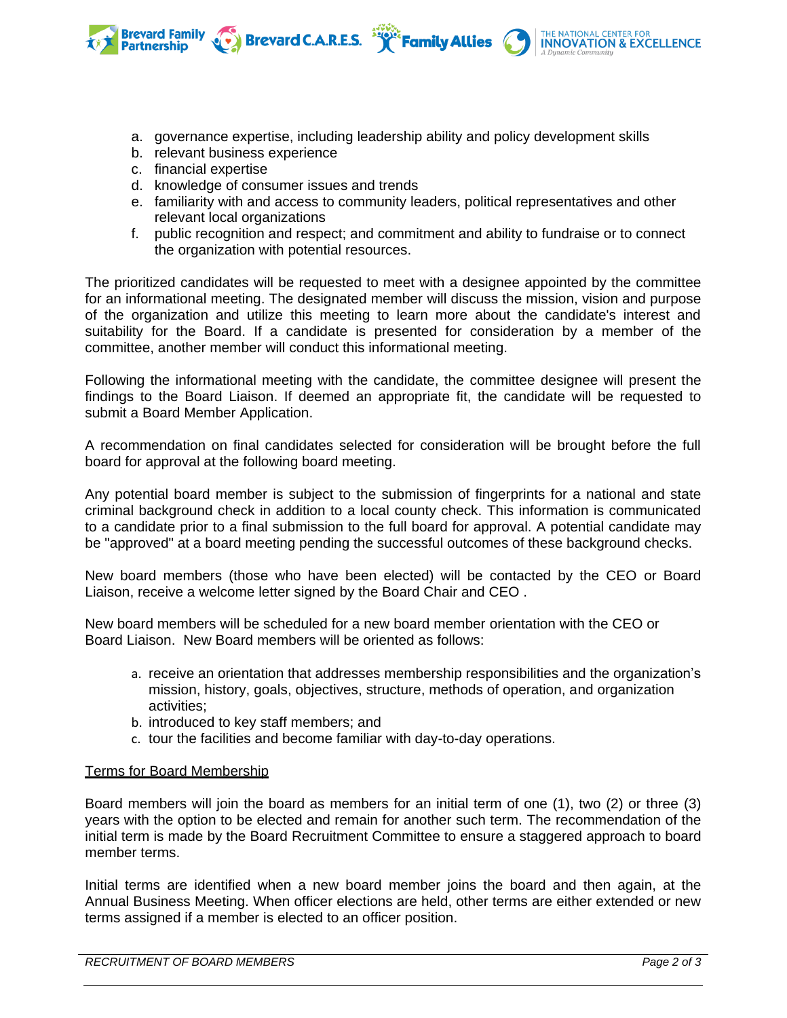a. governance expertise, including leadership ability and policy development skills

Brevard C.A.R.E.S. **Service** Family Allies

- b. relevant business experience
- c. financial expertise

**Brevard Family** 

- d. knowledge of consumer issues and trends
- e. familiarity with and access to community leaders, political representatives and other relevant local organizations
- f. public recognition and respect; and commitment and ability to fundraise or to connect the organization with potential resources.

The prioritized candidates will be requested to meet with a designee appointed by the committee for an informational meeting. The designated member will discuss the mission, vision and purpose of the organization and utilize this meeting to learn more about the candidate's interest and suitability for the Board. If a candidate is presented for consideration by a member of the committee, another member will conduct this informational meeting.

Following the informational meeting with the candidate, the committee designee will present the findings to the Board Liaison. If deemed an appropriate fit, the candidate will be requested to submit a Board Member Application.

A recommendation on final candidates selected for consideration will be brought before the full board for approval at the following board meeting.

Any potential board member is subject to the submission of fingerprints for a national and state criminal background check in addition to a local county check. This information is communicated to a candidate prior to a final submission to the full board for approval. A potential candidate may be "approved" at a board meeting pending the successful outcomes of these background checks.

New board members (those who have been elected) will be contacted by the CEO or Board Liaison, receive a welcome letter signed by the Board Chair and CEO .

New board members will be scheduled for a new board member orientation with the CEO or Board Liaison. New Board members will be oriented as follows:

- a. receive an orientation that addresses membership responsibilities and the organization's mission, history, goals, objectives, structure, methods of operation, and organization activities;
- b. introduced to key staff members; and
- c. tour the facilities and become familiar with day-to-day operations.

## Terms for Board Membership

Board members will join the board as members for an initial term of one (1), two (2) or three (3) years with the option to be elected and remain for another such term. The recommendation of the initial term is made by the Board Recruitment Committee to ensure a staggered approach to board member terms.

Initial terms are identified when a new board member joins the board and then again, at the Annual Business Meeting. When officer elections are held, other terms are either extended or new terms assigned if a member is elected to an officer position.

**INNOVATION & EXCELLENCE**